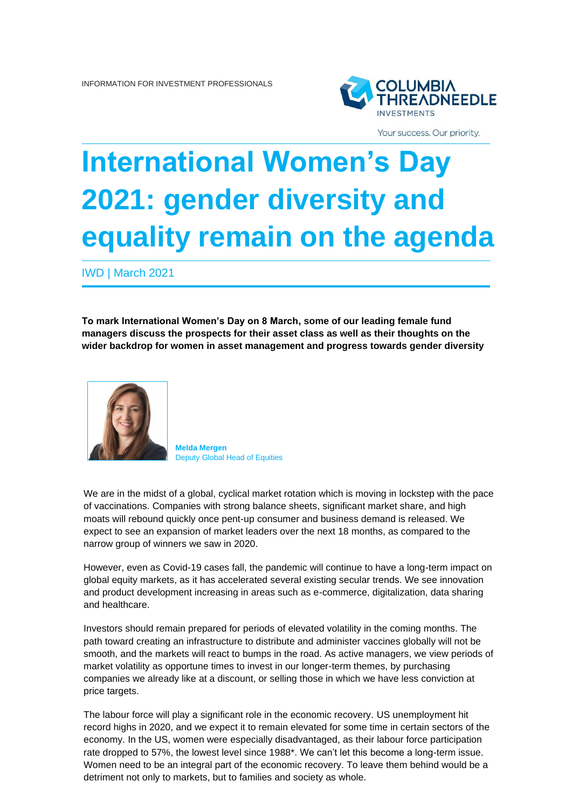

Your success. Our priority.

## **International Women's Day 2021: gender diversity and equality remain on the agenda**

IWD | March 2021

**To mark International Women's Day on 8 March, some of our leading female fund managers discuss the prospects for their asset class as well as their thoughts on the wider backdrop for women in asset management and progress towards gender diversity**



**Melda Mergen** Deputy Global Head of Equities

We are in the midst of a global, cyclical market rotation which is moving in lockstep with the pace of vaccinations. Companies with strong balance sheets, significant market share, and high moats will rebound quickly once pent-up consumer and business demand is released. We expect to see an expansion of market leaders over the next 18 months, as compared to the narrow group of winners we saw in 2020.

However, even as Covid-19 cases fall, the pandemic will continue to have a long-term impact on global equity markets, as it has accelerated several existing secular trends. We see innovation and product development increasing in areas such as e-commerce, digitalization, data sharing and healthcare.

Investors should remain prepared for periods of elevated volatility in the coming months. The path toward creating an infrastructure to distribute and administer vaccines globally will not be smooth, and the markets will react to bumps in the road. As active managers, we view periods of market volatility as opportune times to invest in our longer-term themes, by purchasing companies we already like at a discount, or selling those in which we have less conviction at price targets.

The labour force will play a significant role in the economic recovery. US unemployment hit record highs in 2020, and we expect it to remain elevated for some time in certain sectors of the economy. In the US, women were especially disadvantaged, as their labour force participation rate dropped to 57%, the lowest level since 1988\*. We can't let this become a long-term issue. Women need to be an integral part of the economic recovery. To leave them behind would be a detriment not only to markets, but to families and society as whole.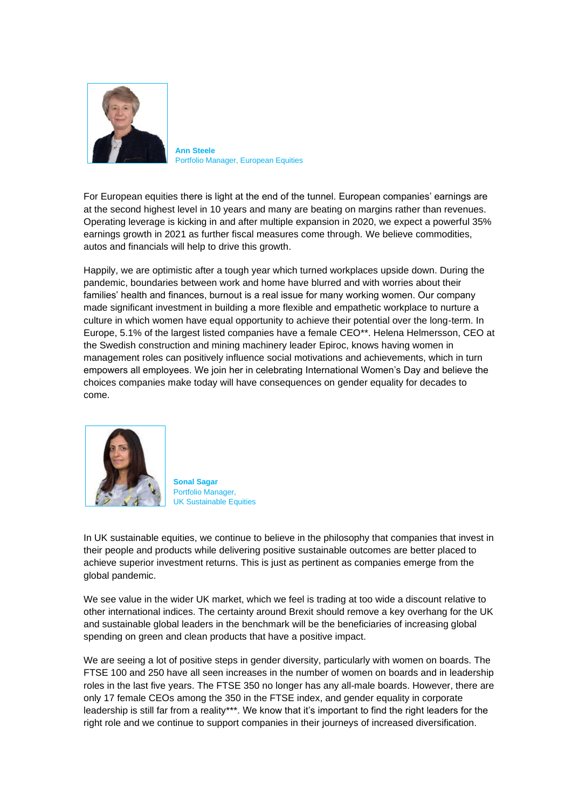

**Ann Steele** Portfolio Manager, European Equities

For European equities there is light at the end of the tunnel. European companies' earnings are at the second highest level in 10 years and many are beating on margins rather than revenues. Operating leverage is kicking in and after multiple expansion in 2020, we expect a powerful 35% earnings growth in 2021 as further fiscal measures come through. We believe commodities, autos and financials will help to drive this growth.

Happily, we are optimistic after a tough year which turned workplaces upside down. During the pandemic, boundaries between work and home have blurred and with worries about their families' health and finances, burnout is a real issue for many working women. Our company made significant investment in building a more flexible and empathetic workplace to nurture a culture in which women have equal opportunity to achieve their potential over the long-term. In Europe, 5.1% of the largest listed companies have a female CEO\*\*. Helena Helmersson, CEO at the Swedish construction and mining machinery leader Epiroc, knows having women in management roles can positively influence social motivations and achievements, which in turn empowers all employees. We join her in celebrating International Women's Day and believe the choices companies make today will have consequences on gender equality for decades to come.



**Sonal Sagar** Portfolio Manager, UK Sustainable Equities

In UK sustainable equities, we continue to believe in the philosophy that companies that invest in their people and products while delivering positive sustainable outcomes are better placed to achieve superior investment returns. This is just as pertinent as companies emerge from the global pandemic.

We see value in the wider UK market, which we feel is trading at too wide a discount relative to other international indices. The certainty around Brexit should remove a key overhang for the UK and sustainable global leaders in the benchmark will be the beneficiaries of increasing global spending on green and clean products that have a positive impact.

We are seeing a lot of positive steps in gender diversity, particularly with women on boards. The FTSE 100 and 250 have all seen increases in the number of women on boards and in leadership roles in the last five years. The FTSE 350 no longer has any all-male boards. However, there are only 17 female CEOs among the 350 in the FTSE index, and gender equality in corporate leadership is still far from a reality\*\*\*. We know that it's important to find the right leaders for the right role and we continue to support companies in their journeys of increased diversification.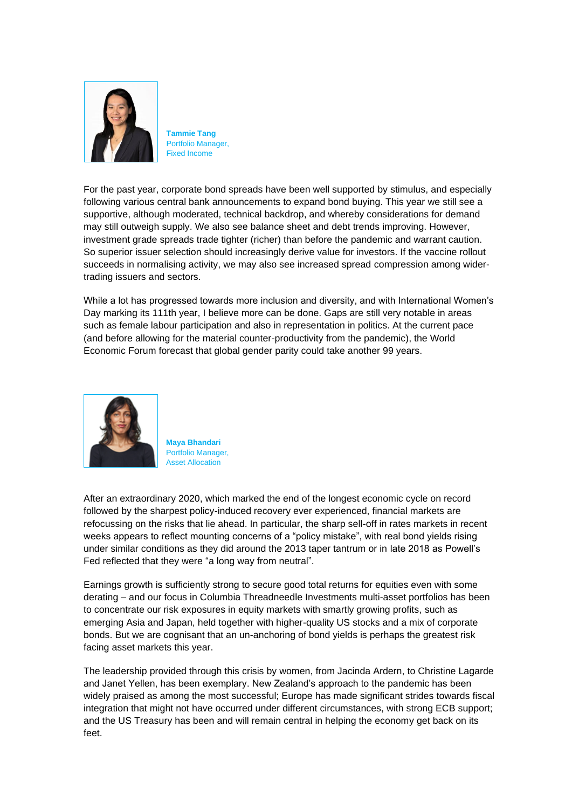

**Tammie Tang** Portfolio Manager, Fixed Income

For the past year, corporate bond spreads have been well supported by stimulus, and especially following various central bank announcements to expand bond buying. This year we still see a supportive, although moderated, technical backdrop, and whereby considerations for demand may still outweigh supply. We also see balance sheet and debt trends improving. However, investment grade spreads trade tighter (richer) than before the pandemic and warrant caution. So superior issuer selection should increasingly derive value for investors. If the vaccine rollout succeeds in normalising activity, we may also see increased spread compression among widertrading issuers and sectors.

While a lot has progressed towards more inclusion and diversity, and with International Women's Day marking its 111th year, I believe more can be done. Gaps are still very notable in areas such as female labour participation and also in representation in politics. At the current pace (and before allowing for the material counter-productivity from the pandemic), the World Economic Forum forecast that global gender parity could take another 99 years.



**Maya Bhandari** Portfolio Manager, Asset Allocation

After an extraordinary 2020, which marked the end of the longest economic cycle on record followed by the sharpest policy-induced recovery ever experienced, financial markets are refocussing on the risks that lie ahead. In particular, the sharp sell-off in rates markets in recent weeks appears to reflect mounting concerns of a "policy mistake", with real bond yields rising under similar conditions as they did around the 2013 taper tantrum or in late 2018 as Powell's Fed reflected that they were "a long way from neutral".

Earnings growth is sufficiently strong to secure good total returns for equities even with some derating – and our focus in Columbia Threadneedle Investments multi-asset portfolios has been to concentrate our risk exposures in equity markets with smartly growing profits, such as emerging Asia and Japan, held together with higher-quality US stocks and a mix of corporate bonds. But we are cognisant that an un-anchoring of bond yields is perhaps the greatest risk facing asset markets this year.

The leadership provided through this crisis by women, from Jacinda Ardern, to Christine Lagarde and Janet Yellen, has been exemplary. New Zealand's approach to the pandemic has been widely praised as among the most successful; Europe has made significant strides towards fiscal integration that might not have occurred under different circumstances, with strong ECB support; and the US Treasury has been and will remain central in helping the economy get back on its feet.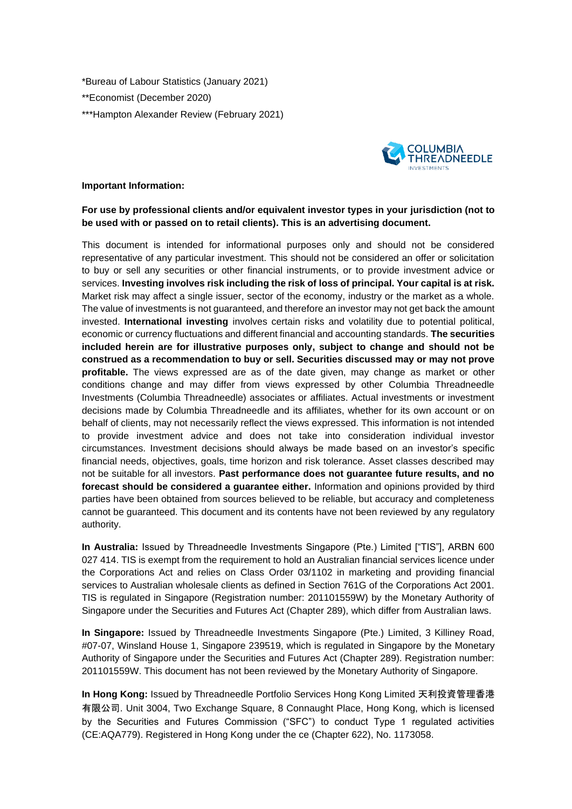\*Bureau of Labour Statistics (January 2021) \*\*Economist (December 2020) \*\*\*Hampton Alexander Review (February 2021)



## **Important Information:**

## **For use by professional clients and/or equivalent investor types in your jurisdiction (not to be used with or passed on to retail clients). This is an advertising document.**

This document is intended for informational purposes only and should not be considered representative of any particular investment. This should not be considered an offer or solicitation to buy or sell any securities or other financial instruments, or to provide investment advice or services. **Investing involves risk including the risk of loss of principal. Your capital is at risk.** Market risk may affect a single issuer, sector of the economy, industry or the market as a whole. The value of investments is not guaranteed, and therefore an investor may not get back the amount invested. **International investing** involves certain risks and volatility due to potential political, economic or currency fluctuations and different financial and accounting standards. **The securities included herein are for illustrative purposes only, subject to change and should not be construed as a recommendation to buy or sell. Securities discussed may or may not prove profitable.** The views expressed are as of the date given, may change as market or other conditions change and may differ from views expressed by other Columbia Threadneedle Investments (Columbia Threadneedle) associates or affiliates. Actual investments or investment decisions made by Columbia Threadneedle and its affiliates, whether for its own account or on behalf of clients, may not necessarily reflect the views expressed. This information is not intended to provide investment advice and does not take into consideration individual investor circumstances. Investment decisions should always be made based on an investor's specific financial needs, objectives, goals, time horizon and risk tolerance. Asset classes described may not be suitable for all investors. **Past performance does not guarantee future results, and no forecast should be considered a guarantee either.** Information and opinions provided by third parties have been obtained from sources believed to be reliable, but accuracy and completeness cannot be guaranteed. This document and its contents have not been reviewed by any regulatory authority.

**In Australia:** Issued by Threadneedle Investments Singapore (Pte.) Limited ["TIS"], ARBN 600 027 414. TIS is exempt from the requirement to hold an Australian financial services licence under the Corporations Act and relies on Class Order 03/1102 in marketing and providing financial services to Australian wholesale clients as defined in Section 761G of the Corporations Act 2001. TIS is regulated in Singapore (Registration number: 201101559W) by the Monetary Authority of Singapore under the Securities and Futures Act (Chapter 289), which differ from Australian laws.

**In Singapore:** Issued by Threadneedle Investments Singapore (Pte.) Limited, 3 Killiney Road, #07-07, Winsland House 1, Singapore 239519, which is regulated in Singapore by the Monetary Authority of Singapore under the Securities and Futures Act (Chapter 289). Registration number: 201101559W. This document has not been reviewed by the Monetary Authority of Singapore.

**In Hong Kong:** Issued by Threadneedle Portfolio Services Hong Kong Limited 天利投資管理香港 有限公司. Unit 3004, Two Exchange Square, 8 Connaught Place, Hong Kong, which is licensed by the Securities and Futures Commission ("SFC") to conduct Type 1 regulated activities (CE:AQA779). Registered in Hong Kong under the ce (Chapter 622), No. 1173058.